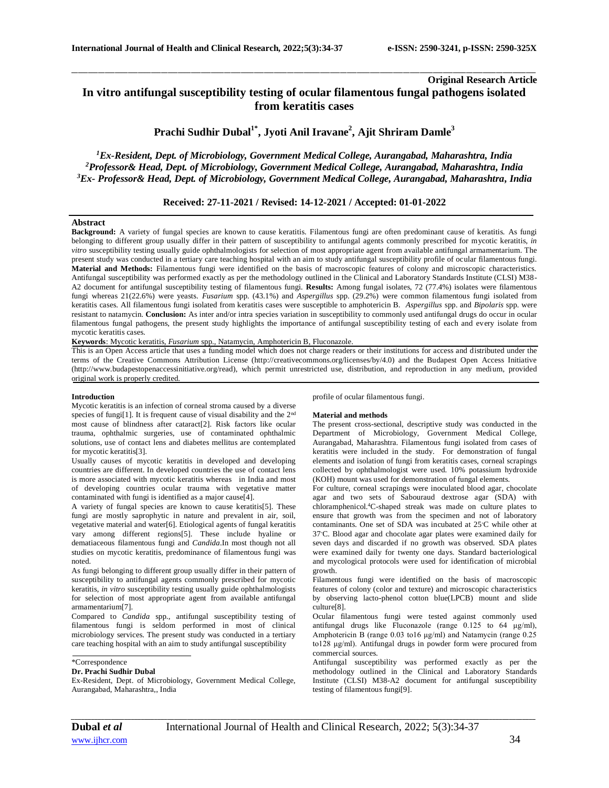# **Original Research Article In vitro antifungal susceptibility testing of ocular filamentous fungal pathogens isolated from keratitis cases**

\_\_\_\_\_\_\_\_\_\_\_\_\_\_\_\_\_\_\_\_\_\_\_\_\_\_\_\_\_\_\_\_\_\_\_\_\_\_\_\_\_\_\_\_\_\_\_\_\_\_\_\_\_\_\_\_\_\_\_\_\_\_\_\_\_\_\_\_\_\_\_\_\_\_\_\_\_\_\_\_\_\_\_\_\_\_\_\_\_\_\_\_\_\_\_\_\_\_\_\_\_\_\_\_\_\_\_\_\_\_\_\_\_\_\_\_\_\_\_\_\_\_\_\_\_\_\_\_\_\_\_\_\_\_\_\_\_\_\_\_

**Prachi Sudhir Dubal1\* , Jyoti Anil Iravane<sup>2</sup> , Ajit Shriram Damle<sup>3</sup>**

*<sup>1</sup>Ex-Resident, Dept. of Microbiology, Government Medical College, Aurangabad, Maharashtra, India <sup>2</sup>Professor& Head, Dept. of Microbiology, Government Medical College, Aurangabad, Maharashtra, India <sup>3</sup>Ex- Professor& Head, Dept. of Microbiology, Government Medical College, Aurangabad, Maharashtra, India*

# **Received: 27-11-2021 / Revised: 14-12-2021 / Accepted: 01-01-2022**

#### **Abstract**

**Background:** A variety of fungal species are known to cause keratitis. Filamentous fungi are often predominant cause of keratitis. As fungi belonging to different group usually differ in their pattern of susceptibility to antifungal agents commonly prescribed for mycotic keratitis, *in vitro* susceptibility testing usually guide ophthalmologists for selection of most appropriate agent from available antifungal armamentarium. The present study was conducted in a tertiary care teaching hospital with an aim to study antifungal susceptibility profile of ocular filamentous fungi. **Material and Methods:** Filamentous fungi were identified on the basis of macroscopic features of colony and microscopic characteristics. Antifungal susceptibility was performed exactly as per the methodology outlined in the Clinical and Laboratory Standards Institute (CLSI) M38- A2 document for antifungal susceptibility testing of filamentous fungi. **Results:** Among fungal isolates, 72 (77.4%) isolates were filamentous fungi whereas 21(22.6%) were yeasts. *Fusarium* spp. (43.1%) and *Aspergillus* spp. (29.2%) were common filamentous fungi isolated from keratitis cases. All filamentous fungi isolated from keratitis cases were susceptible to amphotericin B. *Aspergillus* spp. and *Bipolaris* spp. were resistant to natamycin. **Conclusion:** As inter and/or intra species variation in susceptibility to commonly used antifungal drugs do occur in ocular filamentous fungal pathogens, the present study highlights the importance of antifungal susceptibility testing of each and every isolate from mycotic keratitis cases.

**Keywords**: Mycotic keratitis, *Fusarium* spp., Natamycin, Amphotericin B, Fluconazole.

This is an Open Access article that uses a funding model which does not charge readers or their institutions for access and distributed under the terms of the Creative Commons Attribution License (http://creativecommons.org/licenses/by/4.0) and the Budapest Open Access Initiative (http://www.budapestopenaccessinitiative.org/read), which permit unrestricted use, distribution, and reproduction in any medium, provided original work is properly credited.

#### **Introduction**

Mycotic keratitis is an infection of corneal stroma caused by a diverse species of fungi<sup>[1]</sup>. It is frequent cause of visual disability and the 2<sup>nd</sup> most cause of blindness after cataract[2]. Risk factors like ocular trauma, ophthalmic surgeries, use of contaminated ophthalmic solutions, use of contact lens and diabetes mellitus are contemplated for mycotic keratitis[3].

Usually causes of mycotic keratitis in developed and developing countries are different. In developed countries the use of contact lens is more associated with mycotic keratitis whereas in India and most of developing countries ocular trauma with vegetative matter contaminated with fungi is identified as a major cause[4].

A variety of fungal species are known to cause keratitis[5]. These fungi are mostly saprophytic in nature and prevalent in air, soil, vegetative material and water[6]. Etiological agents of fungal keratitis vary among different regions[5]. These include hyaline or dematiaceous filamentous fungi and *Candida*.In most though not all studies on mycotic keratitis, predominance of filamentous fungi was noted.

As fungi belonging to different group usually differ in their pattern of susceptibility to antifungal agents commonly prescribed for mycotic keratitis, *in vitro* susceptibility testing usually guide ophthalmologists for selection of most appropriate agent from available antifungal armamentarium[7].

Compared to *Candida* spp., antifungal susceptibility testing of filamentous fungi is seldom performed in most of clinical microbiology services. The present study was conducted in a tertiary care teaching hospital with an aim to study antifungal susceptibility

# **Dr. Prachi Sudhir Dubal**

Ex-Resident, Dept. of Microbiology, Government Medical College, Aurangabad, Maharashtra,, India

profile of ocular filamentous fungi.

# **Material and methods**

The present cross-sectional, descriptive study was conducted in the Department of Microbiology, Government Medical College, Aurangabad, Maharashtra. Filamentous fungi isolated from cases of keratitis were included in the study. For demonstration of fungal elements and isolation of fungi from keratitis cases, corneal scrapings collected by ophthalmologist were used. 10% potassium hydroxide (KOH) mount was used for demonstration of fungal elements.

For culture, corneal scrapings were inoculated blood agar, chocolate agar and two sets of Sabouraud dextrose agar (SDA) with chloramphenicol.<sup>4</sup>C-shaped streak was made on culture plates to ensure that growth was from the specimen and not of laboratory contaminants. One set of SDA was incubated at 25◦C while other at 37◦C. Blood agar and chocolate agar plates were examined daily for seven days and discarded if no growth was observed. SDA plates were examined daily for twenty one days. Standard bacteriological and mycological protocols were used for identification of microbial growth.

Filamentous fungi were identified on the basis of macroscopic features of colony (color and texture) and microscopic characteristics by observing lacto-phenol cotton blue(LPCB) mount and slide culture[8].

Ocular filamentous fungi were tested against commonly used antifungal drugs like Fluconazole (range 0.125 to 64 μg/ml), Amphotericin B (range 0.03 to16 μg/ml) and Natamycin (range 0.25 to128 μg/ml). Antifungal drugs in powder form were procured from commercial sources.

Antifungal susceptibility was performed exactly as per the methodology outlined in the Clinical and Laboratory Standards Institute (CLSI) M38-A2 document for antifungal susceptibility testing of filamentous fungi[9].

*\_\_\_\_\_\_\_\_\_\_\_\_\_\_\_\_\_\_\_\_\_\_\_\_\_\_\_\_\_\_\_\_\_\_\_\_\_\_\_\_\_\_\_\_\_\_\_\_\_\_\_\_\_\_\_\_\_\_\_\_\_\_\_\_\_\_\_\_\_\_\_\_\_\_\_\_\_\_\_\_\_\_\_\_\_\_\_\_\_\_\_\_\_\_\_\_\_\_\_\_\_\_\_\_\_\_\_\_\_\_\_\_\_\_\_\_\_\_\_\_\_\_\_\_\_\_\_\_\_\_\_\_\_\_\_\_\_\_\_\_*

<sup>\*</sup>Correspondence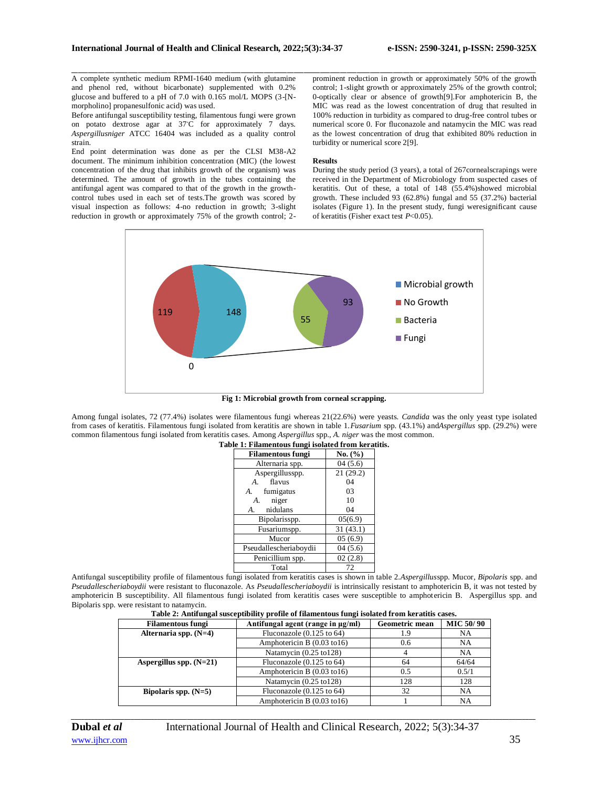A complete synthetic medium RPMI-1640 medium (with glutamine and phenol red, without bicarbonate) supplemented with 0.2% glucose and buffered to a pH of 7.0 with 0.165 mol/L MOPS (3-[Nmorpholino] propanesulfonic acid) was used.

Before antifungal susceptibility testing, filamentous fungi were grown on potato dextrose agar at 37◦C for approximately 7 days. *Aspergillusniger* ATCC 16404 was included as a quality control strain.

End point determination was done as per the CLSI M38-A2 document. The minimum inhibition concentration (MIC) (the lowest concentration of the drug that inhibits growth of the organism) was determined. The amount of growth in the tubes containing the antifungal agent was compared to that of the growth in the growthcontrol tubes used in each set of tests.The growth was scored by visual inspection as follows: 4-no reduction in growth; 3-slight reduction in growth or approximately 75% of the growth control; 2-

\_\_\_\_\_\_\_\_\_\_\_\_\_\_\_\_\_\_\_\_\_\_\_\_\_\_\_\_\_\_\_\_\_\_\_\_\_\_\_\_\_\_\_\_\_\_\_\_\_\_\_\_\_\_\_\_\_\_\_\_\_\_\_\_\_\_\_\_\_\_\_\_\_\_\_\_\_\_\_\_\_\_\_\_\_\_\_\_\_\_\_\_\_\_\_\_\_\_\_\_\_\_\_\_\_\_\_\_\_\_\_\_\_\_\_\_\_\_\_\_\_\_\_\_\_\_\_\_\_\_\_\_\_\_\_\_\_\_\_\_ prominent reduction in growth or approximately 50% of the growth control; 1-slight growth or approximately 25% of the growth control; 0-optically clear or absence of growth[9].For amphotericin B, the MIC was read as the lowest concentration of drug that resulted in 100% reduction in turbidity as compared to drug-free control tubes or numerical score 0. For fluconazole and natamycin the MIC was read as the lowest concentration of drug that exhibited 80% reduction in turbidity or numerical score 2[9].

#### **Results**

During the study period (3 years), a total of 267cornealscrapings were received in the Department of Microbiology from suspected cases of keratitis. Out of these, a total of 148 (55.4%)showed microbial growth. These included 93 (62.8%) fungal and 55 (37.2%) bacterial isolates (Figure 1). In the present study, fungi weresignificant cause of keratitis (Fisher exact test *P*<0.05).



**Fig 1: Microbial growth from corneal scrapping.**

Among fungal isolates, 72 (77.4%) isolates were filamentous fungi whereas 21(22.6%) were yeasts. *Candida* was the only yeast type isolated from cases of keratitis. Filamentous fungi isolated from keratitis are shown in table 1.*Fusarium* spp. (43.1%) and*Aspergillus* spp. (29.2%) were common filamentous fungi isolated from keratitis cases. Among *Aspergillus* spp., *A. niger* was the most common.

| <b>Filamentous fungi</b> | No. $(\% )$ |
|--------------------------|-------------|
| Alternaria spp.          | 04(5.6)     |
| Aspergillusspp.          | 21(29.2)    |
| flavus<br>$\mathbf{A}$   | 04          |
| fumigatus<br>A.          | 03          |
| niger<br>А.              | 10          |
| nidulans<br>А.           | 04          |
| Bipolarisspp.            | 05(6.9)     |
| Fusariumspp.             | 31(43.1)    |
| Mucor                    | 05(6.9)     |
| Pseudallescheriaboydii   | 04(5.6)     |
| Penicillium spp.         | 02(2.8)     |
| Total                    | 72          |

#### **Table 1: Filamentous fungi isolated from keratitis.**

Antifungal susceptibility profile of filamentous fungi isolated from keratitis cases is shown in table 2.*Aspergillus*spp. Mucor, *Bipolaris* spp. and *Pseudallescheriaboydii* were resistant to fluconazole. As *Pseudallescheriaboydii* is intrinsically resistant to amphotericin B, it was not tested by amphotericin B susceptibility. All filamentous fungi isolated from keratitis cases were susceptible to amphotericin B. Aspergillus spp. and Bipolaris spp. were resistant to natamycin.

| <b>Filamentous fungi</b>  | Antifungal agent (range in µg/ml)  | <b>Geometric mean</b> | <b>MIC 50/90</b> |
|---------------------------|------------------------------------|-----------------------|------------------|
| Alternaria spp. $(N=4)$   | Fluconazole $(0.125$ to $64)$      | 1.9                   | NA               |
|                           | Amphotericin B (0.03 to16)         | 0.6                   | NA               |
|                           | Natamycin $(0.25 \text{ to } 128)$ |                       | <b>NA</b>        |
| Aspergillus spp. $(N=21)$ | Fluconazole $(0.125$ to $64)$      | 64                    | 64/64            |
|                           | Amphotericin B (0.03 to16)         | 0.5                   | 0.5/1            |
|                           | Natamycin (0.25 to 128)            | 128                   | 128              |
| Bipolaris spp. $(N=5)$    | Fluconazole $(0.125$ to $64)$      | 32                    | NA               |
|                           | Amphotericin B (0.03 to16)         |                       | NA               |

*\_\_\_\_\_\_\_\_\_\_\_\_\_\_\_\_\_\_\_\_\_\_\_\_\_\_\_\_\_\_\_\_\_\_\_\_\_\_\_\_\_\_\_\_\_\_\_\_\_\_\_\_\_\_\_\_\_\_\_\_\_\_\_\_\_\_\_\_\_\_\_\_\_\_\_\_\_\_\_\_\_\_\_\_\_\_\_\_\_\_\_\_\_\_\_\_\_\_\_\_\_\_\_\_\_\_\_\_\_\_\_\_\_\_\_\_\_\_\_\_\_\_\_\_\_\_\_\_\_\_\_\_\_\_\_\_\_\_\_\_*

## **Table 2: Antifungal susceptibility profile of filamentous fungi isolated from keratitis cases.**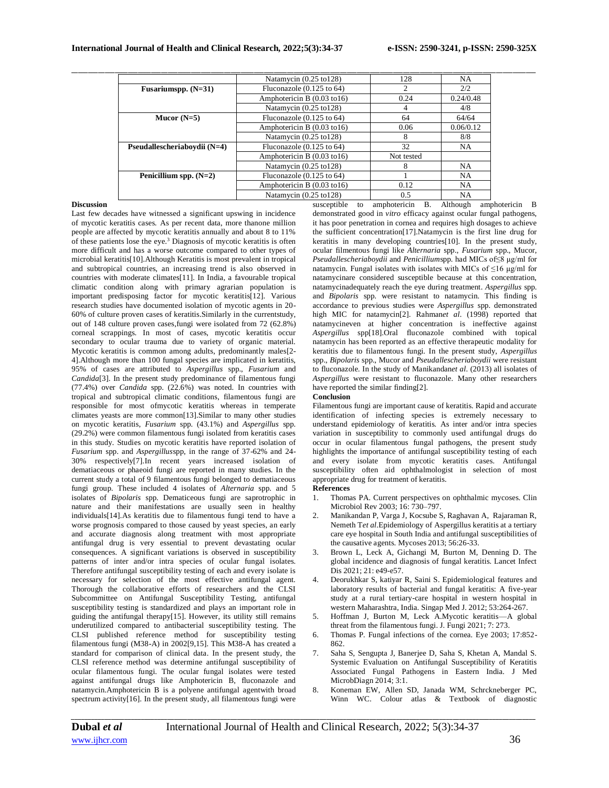|                              | Natamycin $(0.25 \text{ to } 128)$     | 128                         | NA        |
|------------------------------|----------------------------------------|-----------------------------|-----------|
| Fusariumspp. $(N=31)$        | Fluconazole $(0.125$ to 64)            | $\mathcal{D}_{\mathcal{L}}$ | 2/2       |
|                              | Amphotericin B $(0.03 \text{ to } 16)$ | 0.24                        | 0.24/0.48 |
|                              | Natamycin $(0.25 \text{ to } 128)$     |                             | 4/8       |
| Mucor $(N=5)$                | Fluconazole $(0.125$ to $64)$          | 64                          | 64/64     |
|                              | Amphotericin B $(0.03 \text{ to } 16)$ | 0.06                        | 0.06/0.12 |
|                              | Natamycin $(0.25 \text{ to } 128)$     | 8                           | 8/8       |
| Pseudallescheriabovdii (N=4) | Fluconazole $(0.125$ to $64)$          | 32                          | NA        |
|                              | Amphotericin B $(0.03 \text{ to } 16)$ | Not tested                  |           |
|                              | Natamycin $(0.25 \text{ to } 128)$     | 8                           | NA.       |
| Penicillium spp. $(N=2)$     | Fluconazole $(0.125$ to $64)$          |                             | NA        |
|                              | Amphotericin B (0.03 to16)             | 0.12                        | NA        |
|                              | Natamycin $(0.25 \text{ to } 128)$     | 0.5                         | NA        |

## **Discussion**

Last few decades have witnessed a significant upswing in incidence of mycotic keratitis cases. As per recent data, more thanone million people are affected by mycotic keratitis annually and about 8 to 11% of these patients lose the eye.<sup>3</sup> Diagnosis of mycotic keratitis is often more difficult and has a worse outcome compared to other types of microbial keratitis[10].Although Keratitis is most prevalent in tropical and subtropical countries, an increasing trend is also observed in countries with moderate climates[11]. In India, a favourable tropical climatic condition along with primary agrarian population is important predisposing factor for mycotic keratitis[12]. Various research studies have documented isolation of mycotic agents in 20- 60% of culture proven cases of keratitis.Similarly in the currentstudy, out of 148 culture proven cases,fungi were isolated from 72 (62.8%) corneal scrappings. In most of cases, mycotic keratitis occur secondary to ocular trauma due to variety of organic material. Mycotic keratitis is common among adults, predominantly males[2- 4].Although more than 100 fungal species are implicated in keratitis, 95% of cases are attributed to *Aspergillus* spp., *Fusarium* and *Candida*[3]. In the present study predominance of filamentous fungi (77.4%) over *Candida* spp. (22.6%) was noted. In countries with tropical and subtropical climatic conditions, filamentous fungi are responsible for most ofmycotic keratitis whereas in temperate climates yeasts are more common[13].Similar to many other studies on mycotic keratitis, *Fusarium* spp. (43.1%) and *Aspergillus* spp. (29.2%) were common filamentous fungi isolated from keratitis cases in this study. Studies on mycotic keratitis have reported isolation of *Fusarium* spp. and *Aspergillus*spp, in the range of 37-62% and 24- 30% respectively[7].In recent years increased isolation of dematiaceous or phaeoid fungi are reported in many studies. In the current study a total of 9 filamentous fungi belonged to dematiaceous fungi group. These included 4 isolates of *Alternaria* spp. and 5 isolates of *Bipolaris* spp. Dematiceous fungi are saprotrophic in nature and their manifestations are usually seen in healthy individuals[14].As keratitis due to filamentous fungi tend to have a worse prognosis compared to those caused by yeast species, an early and accurate diagnosis along treatment with most appropriate antifungal drug is very essential to prevent devastating ocular consequences. A significant variations is observed in susceptibility patterns of inter and/or intra species of ocular fungal isolates. Therefore antifungal susceptibility testing of each and every isolate is necessary for selection of the most effective antifungal agent. Thorough the collaborative efforts of researchers and the CLSI Subcommittee on Antifungal Susceptibility Testing, antifungal susceptibility testing is standardized and plays an important role in guiding the antifungal therapy[15]. However, its utility still remains underutilized compared to antibacterial susceptibility testing. The CLSI published reference method for susceptibility testing filamentous fungi (M38-A) in 2002[9,15]. This M38-A has created a standard for comparison of clinical data. In the present study, the CLSI reference method was determine antifungal susceptibility of ocular filamentous fungi. The ocular fungal isolates were tested against antifungal drugs like Amphotericin B, fluconazole and natamycin.Amphotericin B is a polyene antifungal agentwith broad spectrum activity[16]. In the present study, all filamentous fungi were

susceptible to amphotericin B. Although amphotericin B demonstrated good in *vitro* efficacy against ocular fungal pathogens, it has poor penetration in cornea and requires high dosages to achieve the sufficient concentration[17].Natamycin is the first line drug for keratitis in many developing countries[10]. In the present study, ocular filmentous fungi like *Alternaria* spp., *Fusarium* spp., Mucor, *Pseudallescheriaboydii* and *Penicilliumspp*. had MICs of≤8 μg/ml for natamycin. Fungal isolates with isolates with MICs of  $\leq$ 16 μg/ml for natamycinare considered susceptible because at this concentration, natamycinadequately reach the eye during treatment. *Aspergillus* spp. and *Bipolaris* spp. were resistant to natamycin. This finding is accordance to previous studies were *Aspergillus* spp. demonstrated high MIC for natamycin[2]. Rahman*et al*. (1998) reported that natamycineven at higher concentration is ineffective against *Aspergillus* spp[18].Oral fluconazole combined with topical natamycin has been reported as an effective therapeutic modality for keratitis due to filamentous fungi. In the present study, *Aspergillus* spp., *Bipolaris* spp., Mucor and *Pseudallescheriaboydii* were resistant to fluconazole. In the study of Manikandan*et al*. (2013) all isolates of *Aspergillus* were resistant to fluconazole. Many other researchers have reported the similar finding[2].

#### **Conclusion**

Filamentous fungi are important cause of keratitis. Rapid and accurate identification of infecting species is extremely necessary to understand epidemiology of keratitis. As inter and/or intra species variation in susceptibility to commonly used antifungal drugs do occur in ocular filamentous fungal pathogens, the present study highlights the importance of antifungal susceptibility testing of each and every isolate from mycotic keratitis cases. Antifungal susceptibility often aid ophthalmologist in selection of most appropriate drug for treatment of keratitis.

## **References**

- 1. Thomas PA. Current perspectives on ophthalmic mycoses. Clin Microbiol Rev 2003; 16: 730–797.
- 2. Manikandan P, Varga J, Kocsube S, Raghavan A, Rajaraman R, Nemeth T*et al*.Epidemiology of Aspergillus keratitis at a tertiary care eye hospital in South India and antifungal susceptibilities of the causative agents. Mycoses 2013; 56:26-33.
- 3. Brown L, Leck A, Gichangi M, Burton M, Denning D. The global incidence and diagnosis of fungal keratitis. Lancet Infect Dis 2021; 21: e49-e57.
- 4. Deorukhkar S, katiyar R, Saini S. Epidemiological features and laboratory results of bacterial and fungal keratitis: A five-year study at a rural tertiary-care hospital in western hospital in western Maharashtra, India. Singap Med J. 2012; 53:264-267.
- 5. Hoffman J, Burton M, Leck A.Mycotic keratitis—A global threat from the filamentous fungi. J. Fungi 2021; 7: 273.
- 6. Thomas P. Fungal infections of the cornea. Eye 2003; 17:852- 862.
- 7. Saha S, Sengupta J, Banerjee D, Saha S, Khetan A, Mandal S. Systemic Evaluation on Antifungal Susceptibility of Keratitis Associated Fungal Pathogens in Eastern India. J Med MicrobDiagn 2014; 3:1.
- 8. Koneman EW, Allen SD, Janada WM, Schrckneberger PC, Winn WC. Colour atlas & Textbook of diagnostic

*\_\_\_\_\_\_\_\_\_\_\_\_\_\_\_\_\_\_\_\_\_\_\_\_\_\_\_\_\_\_\_\_\_\_\_\_\_\_\_\_\_\_\_\_\_\_\_\_\_\_\_\_\_\_\_\_\_\_\_\_\_\_\_\_\_\_\_\_\_\_\_\_\_\_\_\_\_\_\_\_\_\_\_\_\_\_\_\_\_\_\_\_\_\_\_\_\_\_\_\_\_\_\_\_\_\_\_\_\_\_\_\_\_\_\_\_\_\_\_\_\_\_\_\_\_\_\_\_\_\_\_\_\_\_\_\_\_\_\_\_*